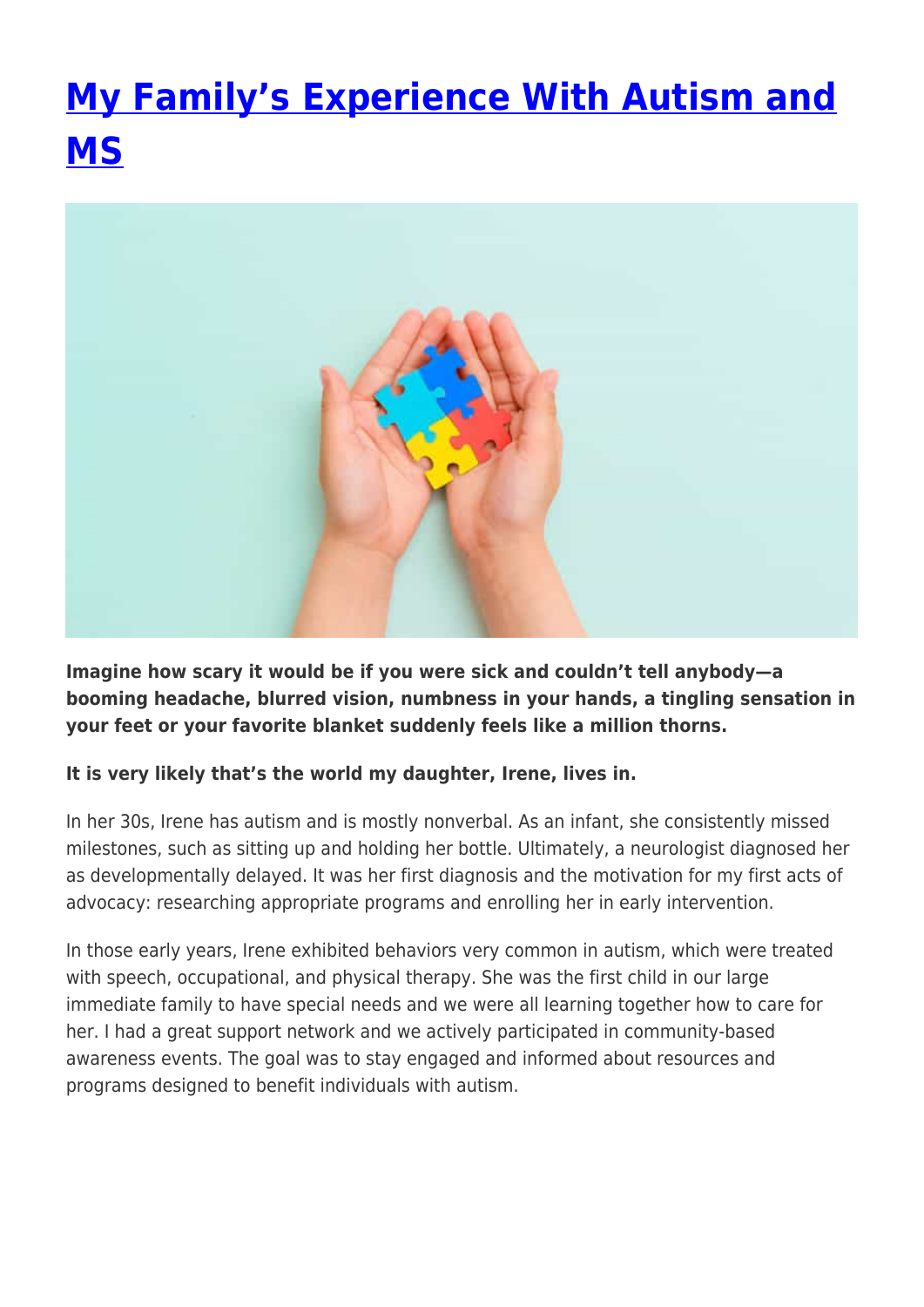## **[My Family's Experience With Autism and](https://momentummagazineonline.com/blog/my-familys-experience/) [MS](https://momentummagazineonline.com/blog/my-familys-experience/)**



**Imagine how scary it would be if you were sick and couldn't tell anybody—a booming headache, blurred vision, numbness in your hands, a tingling sensation in your feet or your favorite blanket suddenly feels like a million thorns.**

## **It is very likely that's the world my daughter, Irene, lives in.**

In her 30s, Irene has autism and is mostly nonverbal. As an infant, she consistently missed milestones, such as sitting up and holding her bottle. Ultimately, a neurologist diagnosed her as developmentally delayed. It was her first diagnosis and the motivation for my first acts of advocacy: researching appropriate programs and enrolling her in early intervention.

In those early years, Irene exhibited behaviors very common in autism, which were treated with speech, occupational, and physical therapy. She was the first child in our large immediate family to have special needs and we were all learning together how to care for her. I had a great support network and we actively participated in community-based awareness events. The goal was to stay engaged and informed about resources and programs designed to benefit individuals with autism.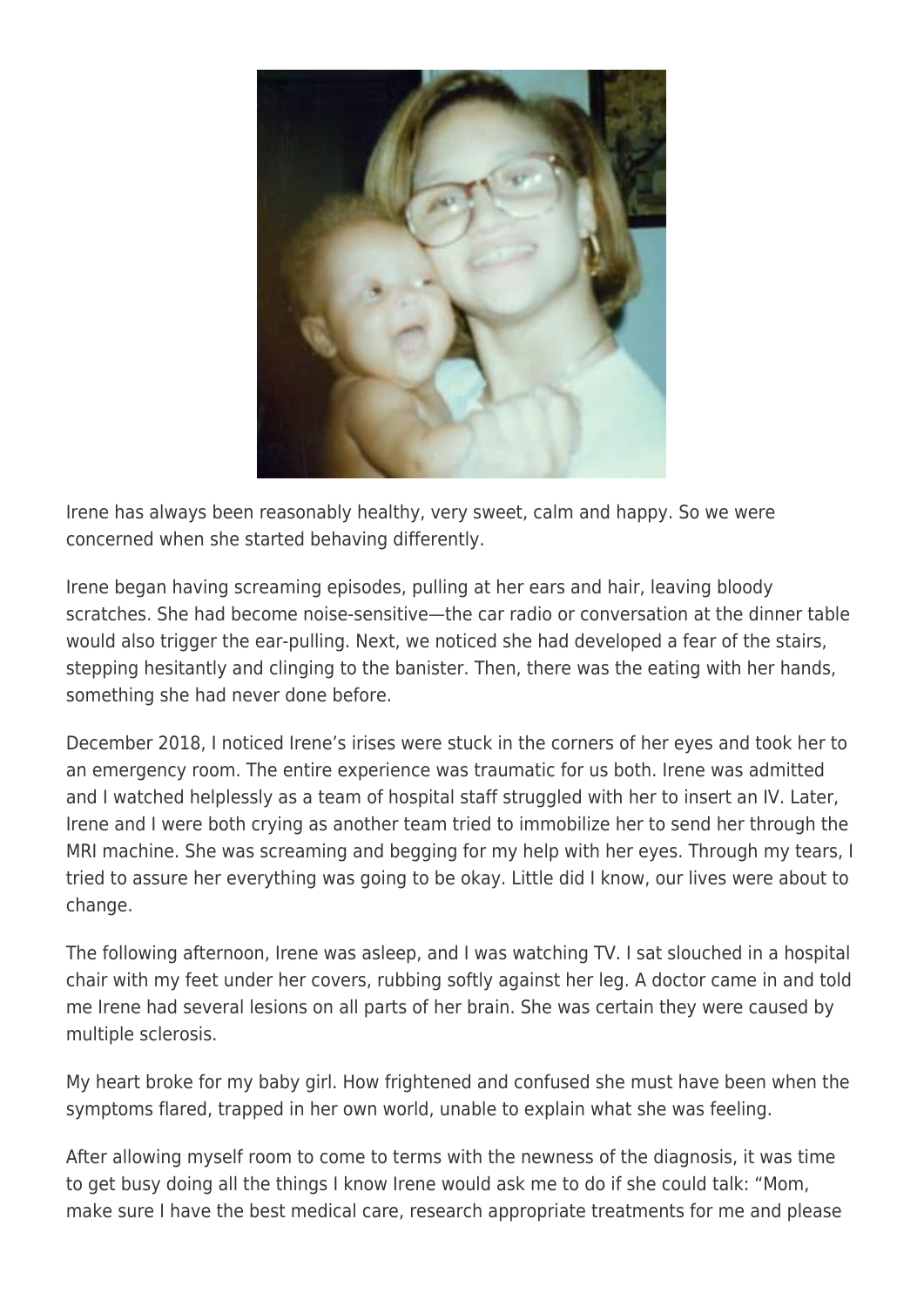

Irene has always been reasonably healthy, very sweet, calm and happy. So we were concerned when she started behaving differently.

Irene began having screaming episodes, pulling at her ears and hair, leaving bloody scratches. She had become noise-sensitive—the car radio or conversation at the dinner table would also trigger the ear-pulling. Next, we noticed she had developed a fear of the stairs, stepping hesitantly and clinging to the banister. Then, there was the eating with her hands, something she had never done before.

December 2018, I noticed Irene's irises were stuck in the corners of her eyes and took her to an emergency room. The entire experience was traumatic for us both. Irene was admitted and I watched helplessly as a team of hospital staff struggled with her to insert an IV. Later, Irene and I were both crying as another team tried to immobilize her to send her through the MRI machine. She was screaming and begging for my help with her eyes. Through my tears, I tried to assure her everything was going to be okay. Little did I know, our lives were about to change.

The following afternoon, Irene was asleep, and I was watching TV. I sat slouched in a hospital chair with my feet under her covers, rubbing softly against her leg. A doctor came in and told me Irene had several lesions on all parts of her brain. She was certain they were caused by multiple sclerosis.

My heart broke for my baby girl. How frightened and confused she must have been when the symptoms flared, trapped in her own world, unable to explain what she was feeling.

After allowing myself room to come to terms with the newness of the diagnosis, it was time to get busy doing all the things I know Irene would ask me to do if she could talk: "Mom, make sure I have the best medical care, research appropriate treatments for me and please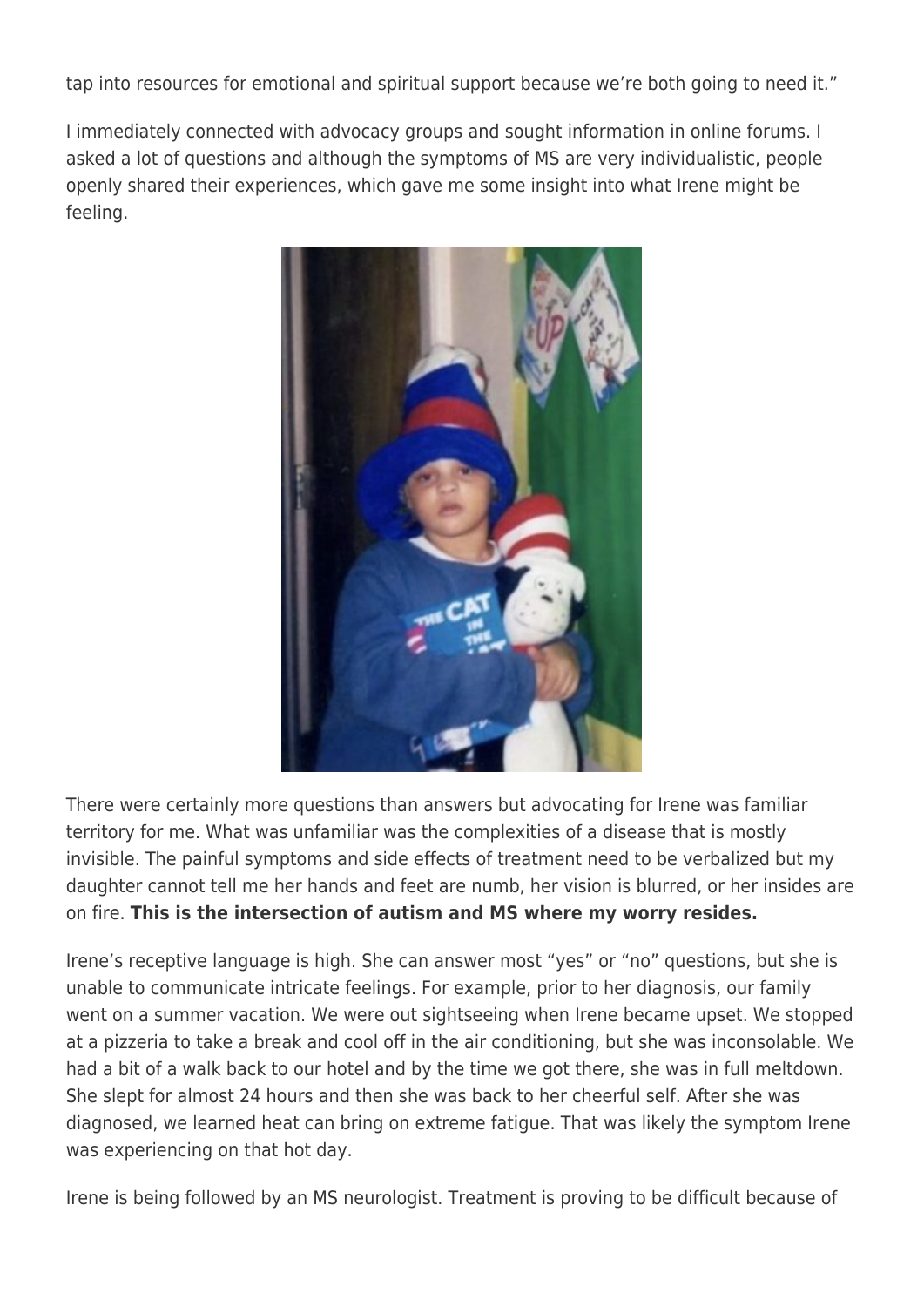tap into resources for emotional and spiritual support because we're both going to need it."

I immediately connected with advocacy groups and sought information in online forums. I asked a lot of questions and although the symptoms of MS are very individualistic, people openly shared their experiences, which gave me some insight into what Irene might be feeling.



There were certainly more questions than answers but advocating for Irene was familiar territory for me. What was unfamiliar was the complexities of a disease that is mostly invisible. The painful symptoms and side effects of treatment need to be verbalized but my daughter cannot tell me her hands and feet are numb, her vision is blurred, or her insides are on fire. **This is the intersection of autism and MS where my worry resides.**

Irene's receptive language is high. She can answer most "yes" or "no" questions, but she is unable to communicate intricate feelings. For example, prior to her diagnosis, our family went on a summer vacation. We were out sightseeing when Irene became upset. We stopped at a pizzeria to take a break and cool off in the air conditioning, but she was inconsolable. We had a bit of a walk back to our hotel and by the time we got there, she was in full meltdown. She slept for almost 24 hours and then she was back to her cheerful self. After she was diagnosed, we learned heat can bring on extreme fatigue. That was likely the symptom Irene was experiencing on that hot day.

Irene is being followed by an MS neurologist. Treatment is proving to be difficult because of